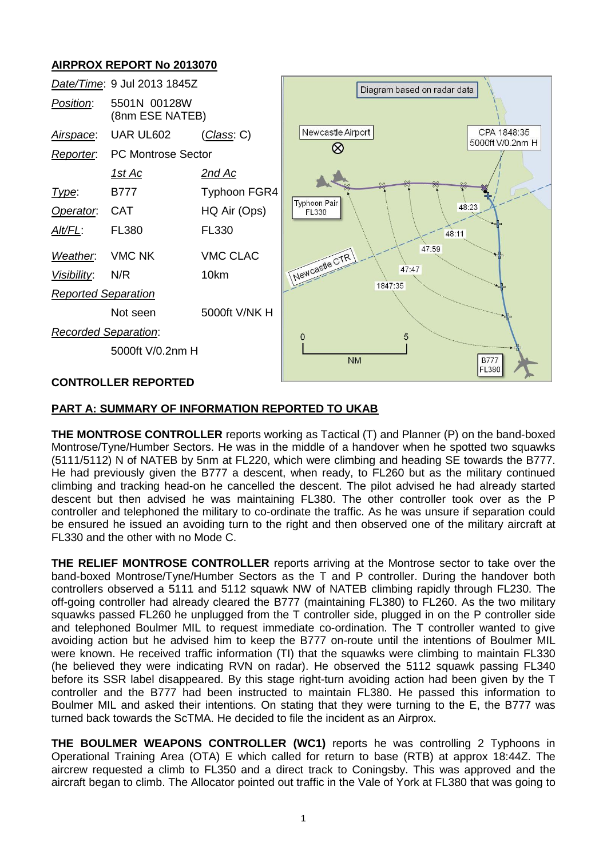# **AIRPROX REPORT No 2013070**



## **CONTROLLER REPORTED**

## **PART A: SUMMARY OF INFORMATION REPORTED TO UKAB**

**THE MONTROSE CONTROLLER** reports working as Tactical (T) and Planner (P) on the band-boxed Montrose/Tyne/Humber Sectors. He was in the middle of a handover when he spotted two squawks (5111/5112) N of NATEB by 5nm at FL220, which were climbing and heading SE towards the B777. He had previously given the B777 a descent, when ready, to FL260 but as the military continued climbing and tracking head-on he cancelled the descent. The pilot advised he had already started descent but then advised he was maintaining FL380. The other controller took over as the P controller and telephoned the military to co-ordinate the traffic. As he was unsure if separation could be ensured he issued an avoiding turn to the right and then observed one of the military aircraft at FL330 and the other with no Mode C.

**THE RELIEF MONTROSE CONTROLLER** reports arriving at the Montrose sector to take over the band-boxed Montrose/Tyne/Humber Sectors as the T and P controller. During the handover both controllers observed a 5111 and 5112 squawk NW of NATEB climbing rapidly through FL230. The off-going controller had already cleared the B777 (maintaining FL380) to FL260. As the two military squawks passed FL260 he unplugged from the T controller side, plugged in on the P controller side and telephoned Boulmer MIL to request immediate co-ordination. The T controller wanted to give avoiding action but he advised him to keep the B777 on-route until the intentions of Boulmer MIL were known. He received traffic information (TI) that the squawks were climbing to maintain FL330 (he believed they were indicating RVN on radar). He observed the 5112 squawk passing FL340 before its SSR label disappeared. By this stage right-turn avoiding action had been given by the T controller and the B777 had been instructed to maintain FL380. He passed this information to Boulmer MIL and asked their intentions. On stating that they were turning to the E, the B777 was turned back towards the ScTMA. He decided to file the incident as an Airprox.

**THE BOULMER WEAPONS CONTROLLER (WC1)** reports he was controlling 2 Typhoons in Operational Training Area (OTA) E which called for return to base (RTB) at approx 18:44Z. The aircrew requested a climb to FL350 and a direct track to Coningsby. This was approved and the aircraft began to climb. The Allocator pointed out traffic in the Vale of York at FL380 that was going to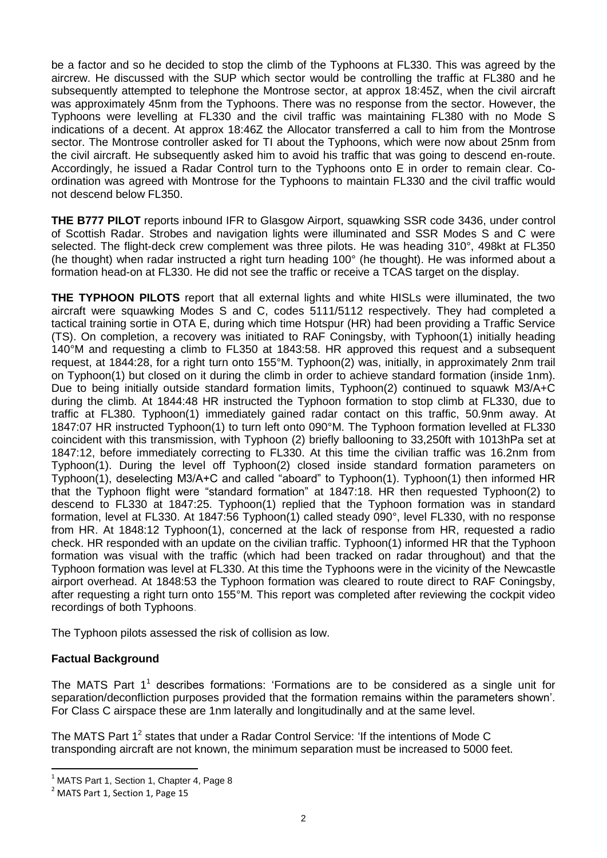be a factor and so he decided to stop the climb of the Typhoons at FL330. This was agreed by the aircrew. He discussed with the SUP which sector would be controlling the traffic at FL380 and he subsequently attempted to telephone the Montrose sector, at approx 18:45Z, when the civil aircraft was approximately 45nm from the Typhoons. There was no response from the sector. However, the Typhoons were levelling at FL330 and the civil traffic was maintaining FL380 with no Mode S indications of a decent. At approx 18:46Z the Allocator transferred a call to him from the Montrose sector. The Montrose controller asked for TI about the Typhoons, which were now about 25nm from the civil aircraft. He subsequently asked him to avoid his traffic that was going to descend en-route. Accordingly, he issued a Radar Control turn to the Typhoons onto E in order to remain clear. Coordination was agreed with Montrose for the Typhoons to maintain FL330 and the civil traffic would not descend below FL350.

**THE B777 PILOT** reports inbound IFR to Glasgow Airport, squawking SSR code 3436, under control of Scottish Radar. Strobes and navigation lights were illuminated and SSR Modes S and C were selected. The flight-deck crew complement was three pilots. He was heading 310°, 498kt at FL350 (he thought) when radar instructed a right turn heading 100° (he thought). He was informed about a formation head-on at FL330. He did not see the traffic or receive a TCAS target on the display.

**THE TYPHOON PILOTS** report that all external lights and white HISLs were illuminated, the two aircraft were squawking Modes S and C, codes 5111/5112 respectively. They had completed a tactical training sortie in OTA E, during which time Hotspur (HR) had been providing a Traffic Service (TS). On completion, a recovery was initiated to RAF Coningsby, with Typhoon(1) initially heading 140°M and requesting a climb to FL350 at 1843:58. HR approved this request and a subsequent request, at 1844:28, for a right turn onto 155°M. Typhoon(2) was, initially, in approximately 2nm trail on Typhoon(1) but closed on it during the climb in order to achieve standard formation (inside 1nm). Due to being initially outside standard formation limits, Typhoon(2) continued to squawk M3/A+C during the climb. At 1844:48 HR instructed the Typhoon formation to stop climb at FL330, due to traffic at FL380. Typhoon(1) immediately gained radar contact on this traffic, 50.9nm away. At 1847:07 HR instructed Typhoon(1) to turn left onto 090°M. The Typhoon formation levelled at FL330 coincident with this transmission, with Typhoon (2) briefly ballooning to 33,250ft with 1013hPa set at 1847:12, before immediately correcting to FL330. At this time the civilian traffic was 16.2nm from Typhoon(1). During the level off Typhoon(2) closed inside standard formation parameters on Typhoon(1), deselecting M3/A+C and called "aboard" to Typhoon(1). Typhoon(1) then informed HR that the Typhoon flight were "standard formation" at 1847:18. HR then requested Typhoon(2) to descend to FL330 at 1847:25. Typhoon(1) replied that the Typhoon formation was in standard formation, level at FL330. At 1847:56 Typhoon(1) called steady 090°, level FL330, with no response from HR. At 1848:12 Typhoon(1), concerned at the lack of response from HR, requested a radio check. HR responded with an update on the civilian traffic. Typhoon(1) informed HR that the Typhoon formation was visual with the traffic (which had been tracked on radar throughout) and that the Typhoon formation was level at FL330. At this time the Typhoons were in the vicinity of the Newcastle airport overhead. At 1848:53 the Typhoon formation was cleared to route direct to RAF Coningsby, after requesting a right turn onto 155°M. This report was completed after reviewing the cockpit video recordings of both Typhoons.

The Typhoon pilots assessed the risk of collision as low.

# **Factual Background**

The MATS Part  $1^1$  describes formations: 'Formations are to be considered as a single unit for separation/deconfliction purposes provided that the formation remains within the parameters shown'. For Class C airspace these are 1nm laterally and longitudinally and at the same level.

The MATS Part 1<sup>2</sup> states that under a Radar Control Service: 'If the intentions of Mode C transponding aircraft are not known, the minimum separation must be increased to 5000 feet.

 $\overline{a}$ 

MATS Part 1, Section 1, Chapter 4, Page 8

<sup>&</sup>lt;sup>2</sup> MATS Part 1, Section 1, Page 15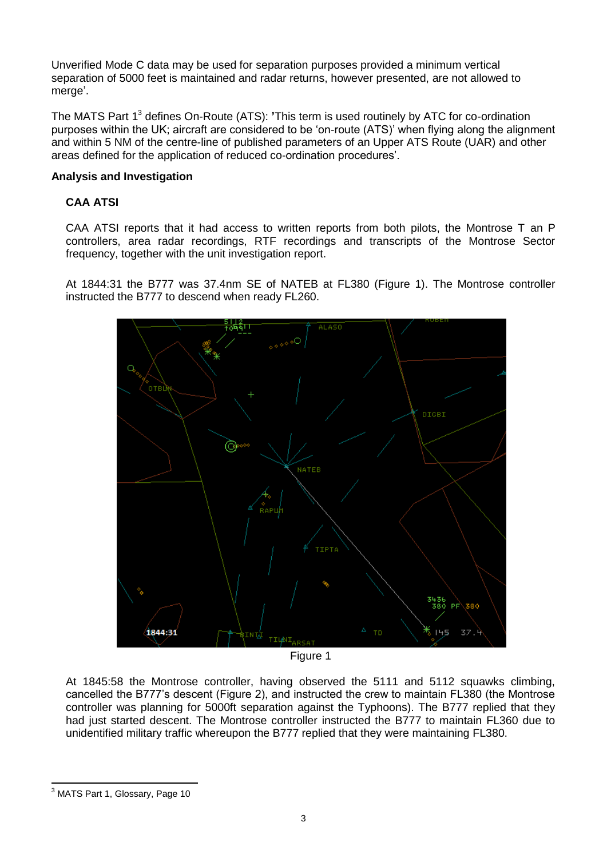Unverified Mode C data may be used for separation purposes provided a minimum vertical separation of 5000 feet is maintained and radar returns, however presented, are not allowed to merge'.

The MATS Part 1 3 defines On-Route (ATS): **'**This term is used routinely by ATC for co-ordination purposes within the UK; aircraft are considered to be 'on-route (ATS)' when flying along the alignment and within 5 NM of the centre-line of published parameters of an Upper ATS Route (UAR) and other areas defined for the application of reduced co-ordination procedures'.

## **Analysis and Investigation**

# **CAA ATSI**

CAA ATSI reports that it had access to written reports from both pilots, the Montrose T an P controllers, area radar recordings, RTF recordings and transcripts of the Montrose Sector frequency, together with the unit investigation report.

At 1844:31 the B777 was 37.4nm SE of NATEB at FL380 (Figure 1). The Montrose controller instructed the B777 to descend when ready FL260.



Figure 1

At 1845:58 the Montrose controller, having observed the 5111 and 5112 squawks climbing, cancelled the B777's descent (Figure 2), and instructed the crew to maintain FL380 (the Montrose controller was planning for 5000ft separation against the Typhoons). The B777 replied that they had just started descent. The Montrose controller instructed the B777 to maintain FL360 due to unidentified military traffic whereupon the B777 replied that they were maintaining FL380.

 $\overline{\phantom{a}}$  $^3$  MATS Part 1, Glossary, Page 10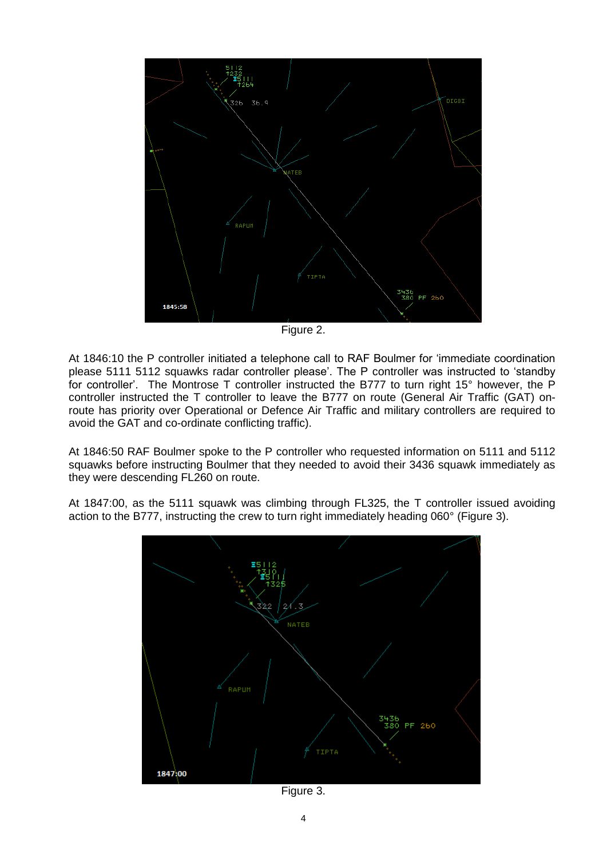

Figure 2.

At 1846:10 the P controller initiated a telephone call to RAF Boulmer for 'immediate coordination please 5111 5112 squawks radar controller please'. The P controller was instructed to 'standby for controller'. The Montrose T controller instructed the B777 to turn right 15° however, the P controller instructed the T controller to leave the B777 on route (General Air Traffic (GAT) onroute has priority over Operational or Defence Air Traffic and military controllers are required to avoid the GAT and co-ordinate conflicting traffic).

At 1846:50 RAF Boulmer spoke to the P controller who requested information on 5111 and 5112 squawks before instructing Boulmer that they needed to avoid their 3436 squawk immediately as they were descending FL260 on route.

At 1847:00, as the 5111 squawk was climbing through FL325, the T controller issued avoiding action to the B777, instructing the crew to turn right immediately heading 060° (Figure 3).



Figure 3.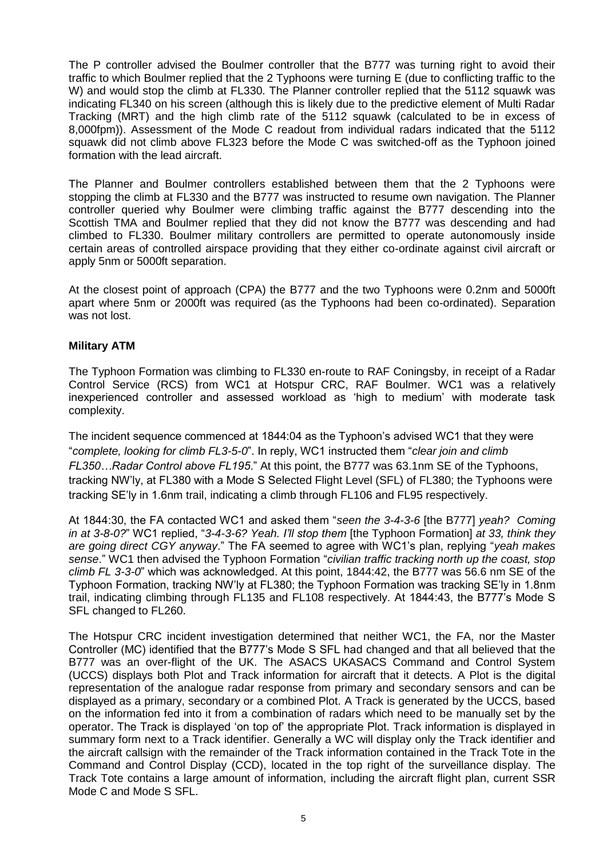The P controller advised the Boulmer controller that the B777 was turning right to avoid their traffic to which Boulmer replied that the 2 Typhoons were turning E (due to conflicting traffic to the W) and would stop the climb at FL330. The Planner controller replied that the 5112 squawk was indicating FL340 on his screen (although this is likely due to the predictive element of Multi Radar Tracking (MRT) and the high climb rate of the 5112 squawk (calculated to be in excess of 8,000fpm)). Assessment of the Mode C readout from individual radars indicated that the 5112 squawk did not climb above FL323 before the Mode C was switched-off as the Typhoon joined formation with the lead aircraft.

The Planner and Boulmer controllers established between them that the 2 Typhoons were stopping the climb at FL330 and the B777 was instructed to resume own navigation. The Planner controller queried why Boulmer were climbing traffic against the B777 descending into the Scottish TMA and Boulmer replied that they did not know the B777 was descending and had climbed to FL330. Boulmer military controllers are permitted to operate autonomously inside certain areas of controlled airspace providing that they either co-ordinate against civil aircraft or apply 5nm or 5000ft separation.

At the closest point of approach (CPA) the B777 and the two Typhoons were 0.2nm and 5000ft apart where 5nm or 2000ft was required (as the Typhoons had been co-ordinated). Separation was not lost.

#### **Military ATM**

The Typhoon Formation was climbing to FL330 en-route to RAF Coningsby, in receipt of a Radar Control Service (RCS) from WC1 at Hotspur CRC, RAF Boulmer. WC1 was a relatively inexperienced controller and assessed workload as 'high to medium' with moderate task complexity.

The incident sequence commenced at 1844:04 as the Typhoon's advised WC1 that they were "*complete, looking for climb FL3-5-0*". In reply, WC1 instructed them "*clear join and climb FL350…Radar Control above FL195*." At this point, the B777 was 63.1nm SE of the Typhoons, tracking NW'ly, at FL380 with a Mode S Selected Flight Level (SFL) of FL380; the Typhoons were tracking SE'ly in 1.6nm trail, indicating a climb through FL106 and FL95 respectively.

At 1844:30, the FA contacted WC1 and asked them "*seen the 3-4-3-6* [the B777] *yeah? Coming in at 3-8-0?*" WC1 replied, "*3-4-3-6? Yeah. I'll stop them* [the Typhoon Formation] *at 33, think they are going direct CGY anyway*." The FA seemed to agree with WC1's plan, replying "*yeah makes sense*." WC1 then advised the Typhoon Formation "*civilian traffic tracking north up the coast, stop climb FL 3-3-0*" which was acknowledged. At this point, 1844:42, the B777 was 56.6 nm SE of the Typhoon Formation, tracking NW'ly at FL380; the Typhoon Formation was tracking SE'ly in 1.8nm trail, indicating climbing through FL135 and FL108 respectively. At 1844:43, the B777's Mode S SFL changed to FL260.

The Hotspur CRC incident investigation determined that neither WC1, the FA, nor the Master Controller (MC) identified that the B777's Mode S SFL had changed and that all believed that the B777 was an over-flight of the UK. The ASACS UKASACS Command and Control System (UCCS) displays both Plot and Track information for aircraft that it detects. A Plot is the digital representation of the analogue radar response from primary and secondary sensors and can be displayed as a primary, secondary or a combined Plot. A Track is generated by the UCCS, based on the information fed into it from a combination of radars which need to be manually set by the operator. The Track is displayed 'on top of' the appropriate Plot. Track information is displayed in summary form next to a Track identifier. Generally a WC will display only the Track identifier and the aircraft callsign with the remainder of the Track information contained in the Track Tote in the Command and Control Display (CCD), located in the top right of the surveillance display. The Track Tote contains a large amount of information, including the aircraft flight plan, current SSR Mode C and Mode S SFL.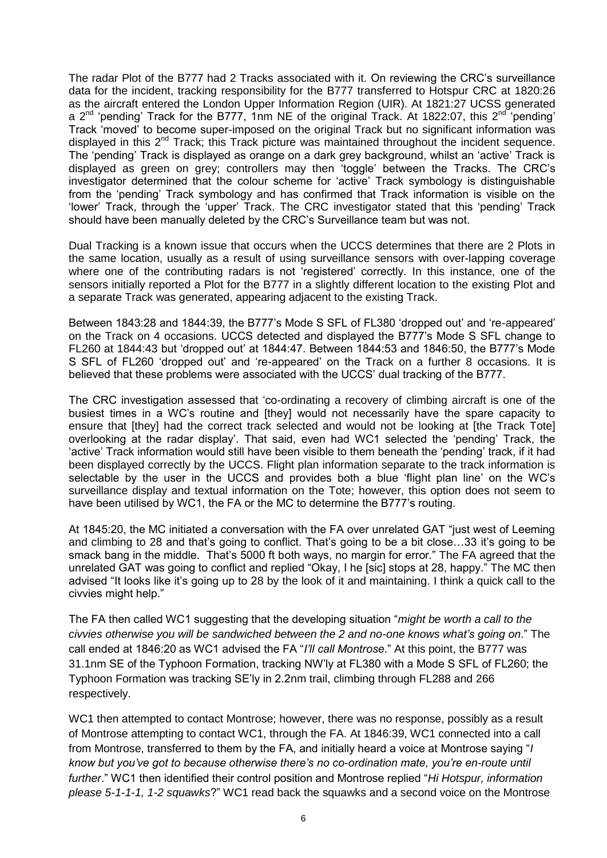The radar Plot of the B777 had 2 Tracks associated with it. On reviewing the CRC's surveillance data for the incident, tracking responsibility for the B777 transferred to Hotspur CRC at 1820:26 as the aircraft entered the London Upper Information Region (UIR). At 1821:27 UCSS generated a  $2^{nd}$  'pending' Track for the B777, 1nm NE of the original Track. At 1822:07, this  $2^{nd}$  'pending' Track 'moved' to become super-imposed on the original Track but no significant information was displayed in this  $2^{nd}$  Track; this Track picture was maintained throughout the incident sequence. The 'pending' Track is displayed as orange on a dark grey background, whilst an 'active' Track is displayed as green on grey; controllers may then 'toggle' between the Tracks. The CRC's investigator determined that the colour scheme for 'active' Track symbology is distinguishable from the 'pending' Track symbology and has confirmed that Track information is visible on the 'lower' Track, through the 'upper' Track. The CRC investigator stated that this 'pending' Track should have been manually deleted by the CRC's Surveillance team but was not.

Dual Tracking is a known issue that occurs when the UCCS determines that there are 2 Plots in the same location, usually as a result of using surveillance sensors with over-lapping coverage where one of the contributing radars is not 'registered' correctly. In this instance, one of the sensors initially reported a Plot for the B777 in a slightly different location to the existing Plot and a separate Track was generated, appearing adjacent to the existing Track.

Between 1843:28 and 1844:39, the B777's Mode S SFL of FL380 'dropped out' and 're-appeared' on the Track on 4 occasions. UCCS detected and displayed the B777's Mode S SFL change to FL260 at 1844:43 but 'dropped out' at 1844:47. Between 1844:53 and 1846:50, the B777's Mode S SFL of FL260 'dropped out' and 're-appeared' on the Track on a further 8 occasions. It is believed that these problems were associated with the UCCS' dual tracking of the B777.

The CRC investigation assessed that 'co-ordinating a recovery of climbing aircraft is one of the busiest times in a WC's routine and [they] would not necessarily have the spare capacity to ensure that [they] had the correct track selected and would not be looking at [the Track Tote] overlooking at the radar display'. That said, even had WC1 selected the 'pending' Track, the 'active' Track information would still have been visible to them beneath the 'pending' track, if it had been displayed correctly by the UCCS. Flight plan information separate to the track information is selectable by the user in the UCCS and provides both a blue 'flight plan line' on the WC's surveillance display and textual information on the Tote; however, this option does not seem to have been utilised by WC1, the FA or the MC to determine the B777's routing.

At 1845:20, the MC initiated a conversation with the FA over unrelated GAT "just west of Leeming and climbing to 28 and that's going to conflict. That's going to be a bit close…33 it's going to be smack bang in the middle. That's 5000 ft both ways, no margin for error." The FA agreed that the unrelated GAT was going to conflict and replied "Okay, I he [sic] stops at 28, happy." The MC then advised "It looks like it's going up to 28 by the look of it and maintaining. I think a quick call to the civvies might help."

The FA then called WC1 suggesting that the developing situation "*might be worth a call to the civvies otherwise you will be sandwiched between the 2 and no-one knows what's going on*." The call ended at 1846:20 as WC1 advised the FA "*I'll call Montrose*." At this point, the B777 was 31.1nm SE of the Typhoon Formation, tracking NW'ly at FL380 with a Mode S SFL of FL260; the Typhoon Formation was tracking SE'ly in 2.2nm trail, climbing through FL288 and 266 respectively.

WC1 then attempted to contact Montrose; however, there was no response, possibly as a result of Montrose attempting to contact WC1, through the FA. At 1846:39, WC1 connected into a call from Montrose, transferred to them by the FA, and initially heard a voice at Montrose saying "*I know but you've got to because otherwise there's no co-ordination mate, you're en-route until further*." WC1 then identified their control position and Montrose replied "*Hi Hotspur, information please 5-1-1-1, 1-2 squawks*?" WC1 read back the squawks and a second voice on the Montrose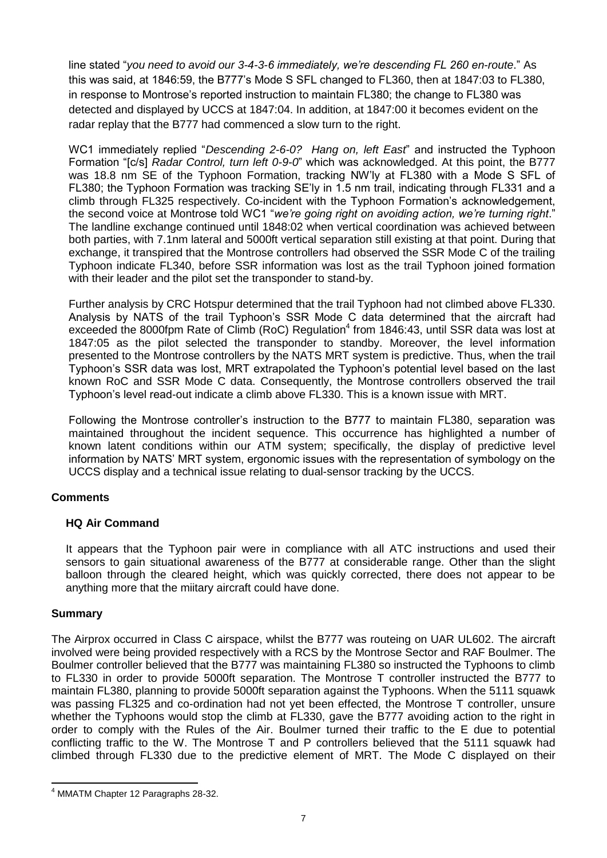line stated "*you need to avoid our 3-4-3-6 immediately, we're descending FL 260 en-route*." As this was said, at 1846:59, the B777's Mode S SFL changed to FL360, then at 1847:03 to FL380, in response to Montrose's reported instruction to maintain FL380; the change to FL380 was detected and displayed by UCCS at 1847:04. In addition, at 1847:00 it becomes evident on the radar replay that the B777 had commenced a slow turn to the right.

WC1 immediately replied "*Descending 2-6-0? Hang on, left East*" and instructed the Typhoon Formation "[c/s] *Radar Control, turn left 0-9-0*" which was acknowledged. At this point, the B777 was 18.8 nm SE of the Typhoon Formation, tracking NW'ly at FL380 with a Mode S SFL of FL380; the Typhoon Formation was tracking SE'ly in 1.5 nm trail, indicating through FL331 and a climb through FL325 respectively. Co-incident with the Typhoon Formation's acknowledgement, the second voice at Montrose told WC1 "*we're going right on avoiding action, we're turning right*." The landline exchange continued until 1848:02 when vertical coordination was achieved between both parties, with 7.1nm lateral and 5000ft vertical separation still existing at that point. During that exchange, it transpired that the Montrose controllers had observed the SSR Mode C of the trailing Typhoon indicate FL340, before SSR information was lost as the trail Typhoon joined formation with their leader and the pilot set the transponder to stand-by.

Further analysis by CRC Hotspur determined that the trail Typhoon had not climbed above FL330. Analysis by NATS of the trail Typhoon's SSR Mode C data determined that the aircraft had exceeded the 8000fpm Rate of Climb (RoC) Regulation<sup>4</sup> from 1846:43, until SSR data was lost at 1847:05 as the pilot selected the transponder to standby. Moreover, the level information presented to the Montrose controllers by the NATS MRT system is predictive. Thus, when the trail Typhoon's SSR data was lost, MRT extrapolated the Typhoon's potential level based on the last known RoC and SSR Mode C data. Consequently, the Montrose controllers observed the trail Typhoon's level read-out indicate a climb above FL330. This is a known issue with MRT.

Following the Montrose controller's instruction to the B777 to maintain FL380, separation was maintained throughout the incident sequence. This occurrence has highlighted a number of known latent conditions within our ATM system; specifically, the display of predictive level information by NATS' MRT system, ergonomic issues with the representation of symbology on the UCCS display and a technical issue relating to dual-sensor tracking by the UCCS.

#### **Comments**

#### **HQ Air Command**

It appears that the Typhoon pair were in compliance with all ATC instructions and used their sensors to gain situational awareness of the B777 at considerable range. Other than the slight balloon through the cleared height, which was quickly corrected, there does not appear to be anything more that the miitary aircraft could have done.

#### **Summary**

The Airprox occurred in Class C airspace, whilst the B777 was routeing on UAR UL602. The aircraft involved were being provided respectively with a RCS by the Montrose Sector and RAF Boulmer. The Boulmer controller believed that the B777 was maintaining FL380 so instructed the Typhoons to climb to FL330 in order to provide 5000ft separation. The Montrose T controller instructed the B777 to maintain FL380, planning to provide 5000ft separation against the Typhoons. When the 5111 squawk was passing FL325 and co-ordination had not yet been effected, the Montrose T controller, unsure whether the Typhoons would stop the climb at FL330, gave the B777 avoiding action to the right in order to comply with the Rules of the Air. Boulmer turned their traffic to the E due to potential conflicting traffic to the W. The Montrose T and P controllers believed that the 5111 squawk had climbed through FL330 due to the predictive element of MRT. The Mode C displayed on their

 $\overline{\phantom{a}}$ <sup>4</sup> MMATM Chapter 12 Paragraphs 28-32.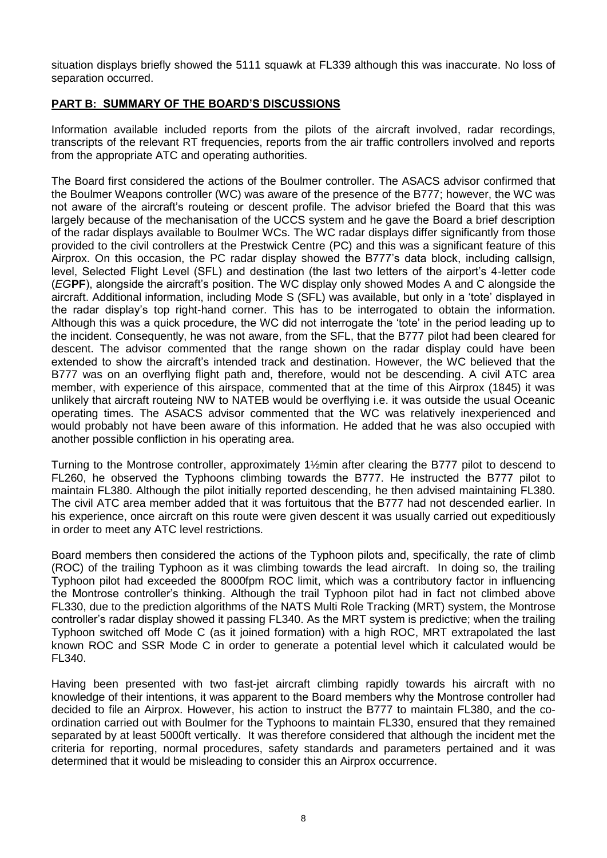situation displays briefly showed the 5111 squawk at FL339 although this was inaccurate. No loss of separation occurred.

### **PART B: SUMMARY OF THE BOARD'S DISCUSSIONS**

Information available included reports from the pilots of the aircraft involved, radar recordings, transcripts of the relevant RT frequencies, reports from the air traffic controllers involved and reports from the appropriate ATC and operating authorities.

The Board first considered the actions of the Boulmer controller. The ASACS advisor confirmed that the Boulmer Weapons controller (WC) was aware of the presence of the B777; however, the WC was not aware of the aircraft's routeing or descent profile. The advisor briefed the Board that this was largely because of the mechanisation of the UCCS system and he gave the Board a brief description of the radar displays available to Boulmer WCs. The WC radar displays differ significantly from those provided to the civil controllers at the Prestwick Centre (PC) and this was a significant feature of this Airprox. On this occasion, the PC radar display showed the B777's data block, including callsign, level, Selected Flight Level (SFL) and destination (the last two letters of the airport's 4-letter code (*EG***PF**), alongside the aircraft's position. The WC display only showed Modes A and C alongside the aircraft. Additional information, including Mode S (SFL) was available, but only in a 'tote' displayed in the radar display's top right-hand corner. This has to be interrogated to obtain the information. Although this was a quick procedure, the WC did not interrogate the 'tote' in the period leading up to the incident. Consequently, he was not aware, from the SFL, that the B777 pilot had been cleared for descent. The advisor commented that the range shown on the radar display could have been extended to show the aircraft's intended track and destination. However, the WC believed that the B777 was on an overflying flight path and, therefore, would not be descending. A civil ATC area member, with experience of this airspace, commented that at the time of this Airprox (1845) it was unlikely that aircraft routeing NW to NATEB would be overflying i.e. it was outside the usual Oceanic operating times. The ASACS advisor commented that the WC was relatively inexperienced and would probably not have been aware of this information. He added that he was also occupied with another possible confliction in his operating area.

Turning to the Montrose controller, approximately 1½min after clearing the B777 pilot to descend to FL260, he observed the Typhoons climbing towards the B777. He instructed the B777 pilot to maintain FL380. Although the pilot initially reported descending, he then advised maintaining FL380. The civil ATC area member added that it was fortuitous that the B777 had not descended earlier. In his experience, once aircraft on this route were given descent it was usually carried out expeditiously in order to meet any ATC level restrictions.

Board members then considered the actions of the Typhoon pilots and, specifically, the rate of climb (ROC) of the trailing Typhoon as it was climbing towards the lead aircraft. In doing so, the trailing Typhoon pilot had exceeded the 8000fpm ROC limit, which was a contributory factor in influencing the Montrose controller's thinking. Although the trail Typhoon pilot had in fact not climbed above FL330, due to the prediction algorithms of the NATS Multi Role Tracking (MRT) system, the Montrose controller's radar display showed it passing FL340. As the MRT system is predictive; when the trailing Typhoon switched off Mode C (as it joined formation) with a high ROC, MRT extrapolated the last known ROC and SSR Mode C in order to generate a potential level which it calculated would be FL340.

Having been presented with two fast-jet aircraft climbing rapidly towards his aircraft with no knowledge of their intentions, it was apparent to the Board members why the Montrose controller had decided to file an Airprox. However, his action to instruct the B777 to maintain FL380, and the coordination carried out with Boulmer for the Typhoons to maintain FL330, ensured that they remained separated by at least 5000ft vertically. It was therefore considered that although the incident met the criteria for reporting, normal procedures, safety standards and parameters pertained and it was determined that it would be misleading to consider this an Airprox occurrence.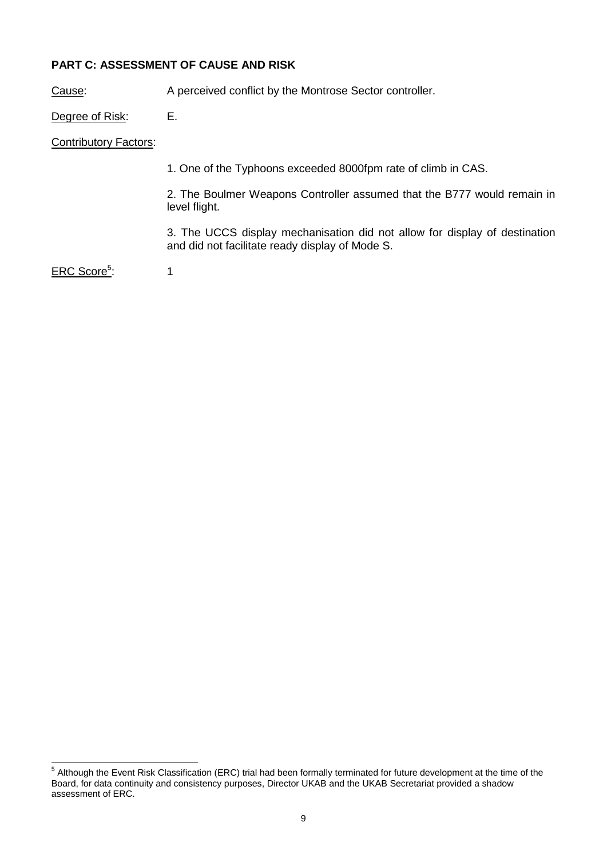# **PART C: ASSESSMENT OF CAUSE AND RISK**

Cause: A perceived conflict by the Montrose Sector controller.

Degree of Risk: E.

Contributory Factors:

1. One of the Typhoons exceeded 8000fpm rate of climb in CAS.

2. The Boulmer Weapons Controller assumed that the B777 would remain in level flight.

3. The UCCS display mechanisation did not allow for display of destination and did not facilitate ready display of Mode S.

ERC Score<sup>5</sup>: :  $\sim$  1

 5 Although the Event Risk Classification (ERC) trial had been formally terminated for future development at the time of the Board, for data continuity and consistency purposes, Director UKAB and the UKAB Secretariat provided a shadow assessment of ERC.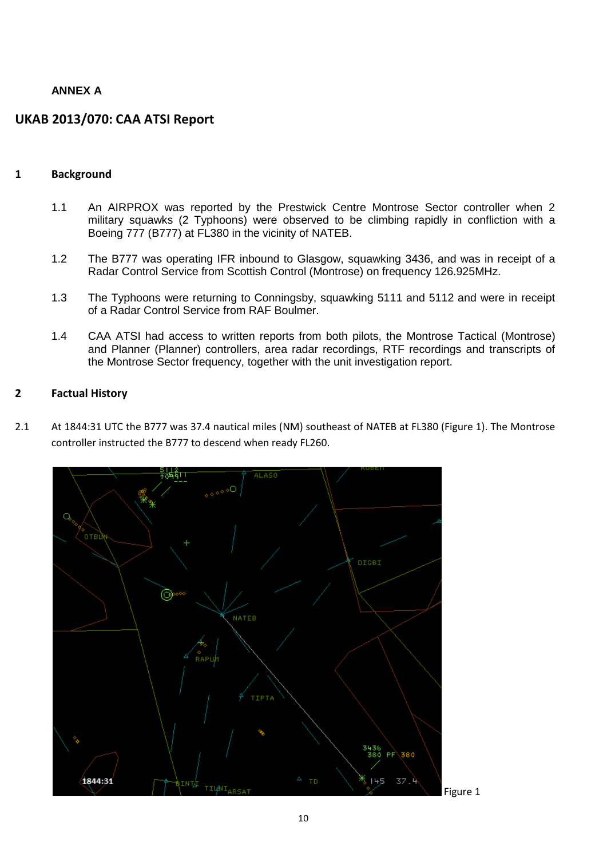# **ANNEX A**

# **UKAB 2013/070: CAA ATSI Report**

#### **1 Background**

- 1.1 An AIRPROX was reported by the Prestwick Centre Montrose Sector controller when 2 military squawks (2 Typhoons) were observed to be climbing rapidly in confliction with a Boeing 777 (B777) at FL380 in the vicinity of NATEB.
- 1.2 The B777 was operating IFR inbound to Glasgow, squawking 3436, and was in receipt of a Radar Control Service from Scottish Control (Montrose) on frequency 126.925MHz.
- 1.3 The Typhoons were returning to Conningsby, squawking 5111 and 5112 and were in receipt of a Radar Control Service from RAF Boulmer.
- 1.4 CAA ATSI had access to written reports from both pilots, the Montrose Tactical (Montrose) and Planner (Planner) controllers, area radar recordings, RTF recordings and transcripts of the Montrose Sector frequency, together with the unit investigation report.

#### **2 Factual History**

2.1 At 1844:31 UTC the B777 was 37.4 nautical miles (NM) southeast of NATEB at FL380 (Figure 1). The Montrose controller instructed the B777 to descend when ready FL260.

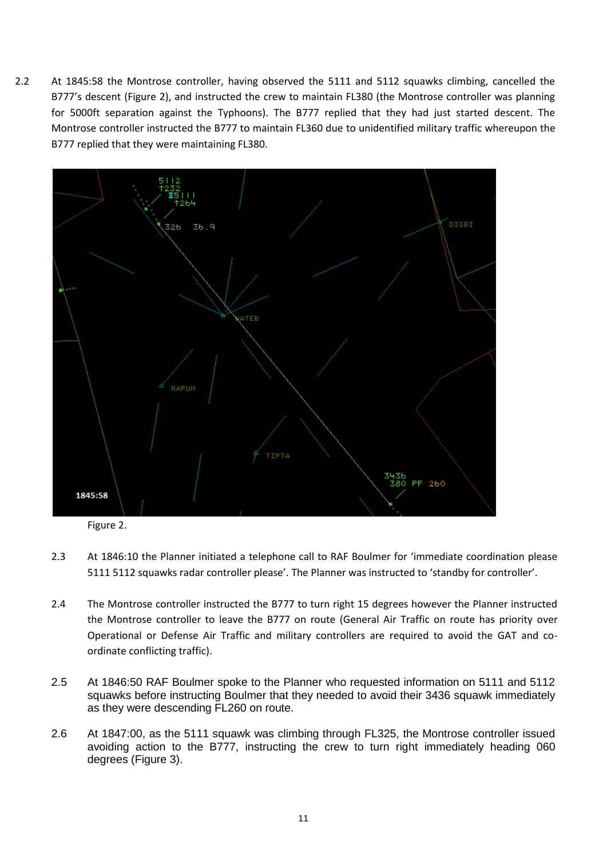2.2 At 1845:58 the Montrose controller, having observed the 5111 and 5112 squawks climbing, cancelled the B777's descent (Figure 2), and instructed the crew to maintain FL380 (the Montrose controller was planning for 5000ft separation against the Typhoons). The B777 replied that they had just started descent. The Montrose controller instructed the B777 to maintain FL360 due to unidentified military traffic whereupon the B777 replied that they were maintaining FL380.



Figure 2.

- 2.3 At 1846:10 the Planner initiated a telephone call to RAF Boulmer for 'immediate coordination please 5111 5112 squawks radar controller please'. The Planner was instructed to 'standby for controller'.
- 2.4 The Montrose controller instructed the B777 to turn right 15 degrees however the Planner instructed the Montrose controller to leave the B777 on route (General Air Traffic on route has priority over Operational or Defense Air Traffic and military controllers are required to avoid the GAT and coordinate conflicting traffic).
- 2.5 At 1846:50 RAF Boulmer spoke to the Planner who requested information on 5111 and 5112 squawks before instructing Boulmer that they needed to avoid their 3436 squawk immediately as they were descending FL260 on route.
- 2.6 At 1847:00, as the 5111 squawk was climbing through FL325, the Montrose controller issued avoiding action to the B777, instructing the crew to turn right immediately heading 060 degrees (Figure 3).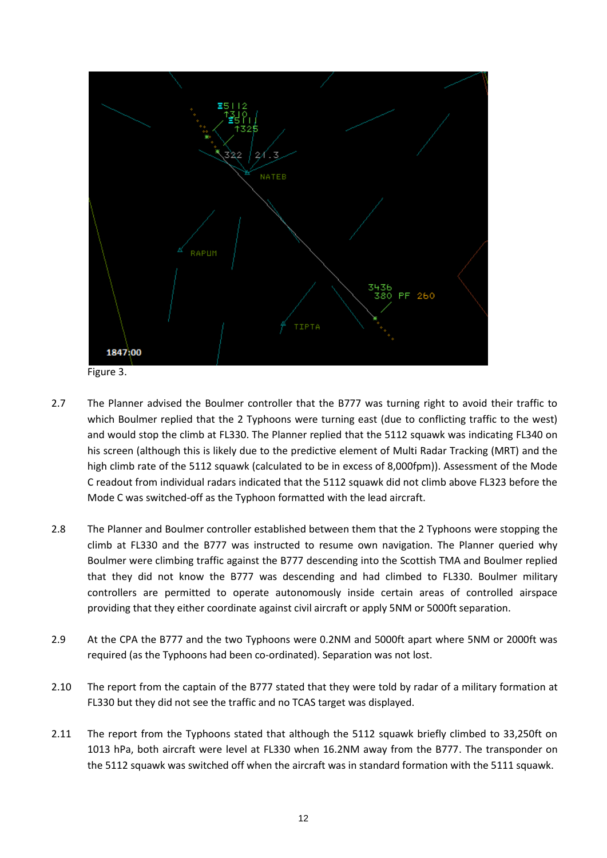

- 2.7 The Planner advised the Boulmer controller that the B777 was turning right to avoid their traffic to which Boulmer replied that the 2 Typhoons were turning east (due to conflicting traffic to the west) and would stop the climb at FL330. The Planner replied that the 5112 squawk was indicating FL340 on his screen (although this is likely due to the predictive element of Multi Radar Tracking (MRT) and the high climb rate of the 5112 squawk (calculated to be in excess of 8,000fpm)). Assessment of the Mode C readout from individual radars indicated that the 5112 squawk did not climb above FL323 before the Mode C was switched-off as the Typhoon formatted with the lead aircraft.
- 2.8 The Planner and Boulmer controller established between them that the 2 Typhoons were stopping the climb at FL330 and the B777 was instructed to resume own navigation. The Planner queried why Boulmer were climbing traffic against the B777 descending into the Scottish TMA and Boulmer replied that they did not know the B777 was descending and had climbed to FL330. Boulmer military controllers are permitted to operate autonomously inside certain areas of controlled airspace providing that they either coordinate against civil aircraft or apply 5NM or 5000ft separation.
- 2.9 At the CPA the B777 and the two Typhoons were 0.2NM and 5000ft apart where 5NM or 2000ft was required (as the Typhoons had been co-ordinated). Separation was not lost.
- 2.10 The report from the captain of the B777 stated that they were told by radar of a military formation at FL330 but they did not see the traffic and no TCAS target was displayed.
- 2.11 The report from the Typhoons stated that although the 5112 squawk briefly climbed to 33,250ft on 1013 hPa, both aircraft were level at FL330 when 16.2NM away from the B777. The transponder on the 5112 squawk was switched off when the aircraft was in standard formation with the 5111 squawk.